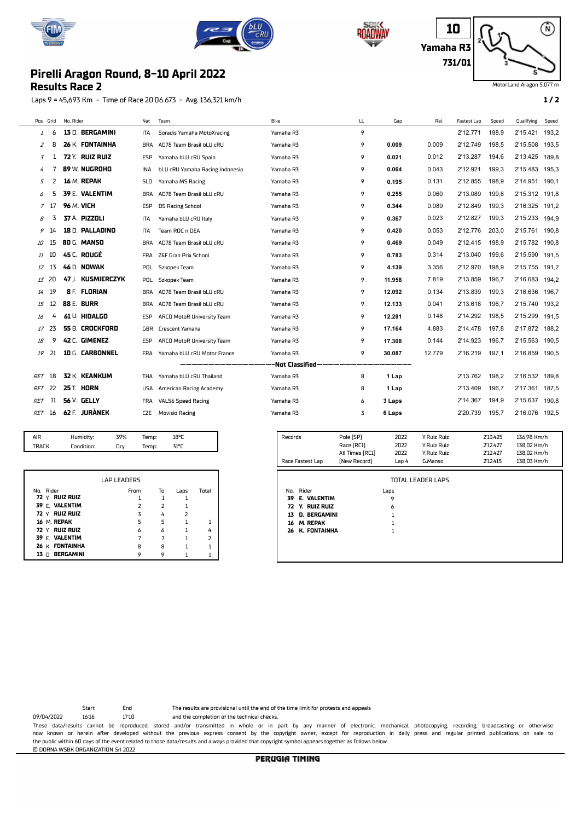







MotorLand Aragon 5.077 m

## **Results Race 2 Pirelli Aragon Round, 8-10 April 2022**

Laps 9 = 45,693 Km - Time of Race 20'06.673 - Avg. 136,321 km/h **1 / 2**

|               | Pos Grid | No. Rider            | Nat        | Team                            | Bike |                  | LL                                                          | Gap     | Rel.        | <b>Fastest Lap</b> | Speed                        | Qualifying                      | Speed |
|---------------|----------|----------------------|------------|---------------------------------|------|------------------|-------------------------------------------------------------|---------|-------------|--------------------|------------------------------|---------------------------------|-------|
| $\mathcal{I}$ | 6        | 13 D. BERGAMINI      | ITA        | Soradis Yamaha MotoXracing      |      | Yamaha R3        | 9                                                           |         |             | 2'12.771           | 198,9                        | 2'15.421                        | 193,2 |
| 2             | 8        | 26 K. FONTAINHA      | <b>BRA</b> | AD78 Team Brasil bLU cRU        |      | Yamaha R3        | 9                                                           | 0.009   | 0.009       | 2'12.749           | 198.5                        | 2'15.508                        | 193.5 |
| 3             | 1        | 72 Y. RUIZ RUIZ      | ESP        | Yamaha bLU cRU Spain            |      | Yamaha R3        | 9                                                           | 0.021   | 0.012       | 2'13.287           | 194,6                        | 2'13.425                        | 189,8 |
| 4             | 7        | 89 W. NUGROHO        | INA        | bLU cRU Yamaha Racing Indonesia |      | Yamaha R3        | 9                                                           | 0.064   | 0.043       | 2'12.921           | 199,3                        | 2'15.483                        | 195,3 |
| 5             | 2        | 16 M. REPAK          | <b>SLO</b> | Yamaha MS Racing                |      | Yamaha R3        | 9                                                           | 0.195   | 0.131       | 2'12.855           | 198,9                        | 2'14.951                        | 190.1 |
| 6             | 5        | 39 E. VALENTIM       | BRA        | AD78 Team Brasil bLU cRU        |      | Yamaha R3        | 9                                                           | 0.255   | 0.060       | 2'13.089           | 199,6                        | 2'15.312                        | 191,8 |
| 7             | -17      | <b>96 M. VICH</b>    | ESP        | <b>DS Racing School</b>         |      | Yamaha R3        | 9                                                           | 0.344   | 0.089       | 2'12.849           | 199,3                        | 2'16.325                        | 191,2 |
| R             | 3        | 37 A. PIZZOLI        | ITA        | Yamaha bLU cRU Italy            |      | Yamaha R3        | 9                                                           | 0.367   | 0.023       | 2'12.827           | 199,3                        | 2'15.233                        | 194,9 |
|               | 14       | 18 D. PALLADINO      | ITA        | Team ROC n DEA                  |      | Yamaha R3        | 9                                                           | 0.420   | 0.053       | 2'12.776           | 203,0                        | 2'15.761                        | 190,8 |
| 10            | 15       | 80 G. MANSO          | <b>BRA</b> | AD78 Team Brasil bLU cRU        |      | Yamaha R3        | 9                                                           | 0.469   | 0.049       | 2'12.415           | 198,9                        | 2'15.782                        | 190,8 |
| 11            | 10       | 45 C. ROUGÉ          | FRA        | Z&F Gran Prix School            |      | Yamaha R3        | 9                                                           | 0.783   | 0.314       | 2'13.040           | 199,6                        | 2'15.590                        | 191,5 |
| 12            | 13       | <b>46 D. NOWAK</b>   | <b>POL</b> | Szkopek Team                    |      | Yamaha R3        | 9                                                           | 4.139   | 3.356       | 2'12.970           | 198,9                        | 2'15.755                        | 191,2 |
| 13            | -20      | 47 J. KUSMIERCZYK    | POL        | Szkopek Team                    |      | Yamaha R3        | 9                                                           | 11.958  | 7.819       | 2'13.859           | 196,7                        | 2'16.683                        | 194,2 |
| 14            | 19       | 8 F. FLORIAN         | <b>BRA</b> | AD78 Team Brasil bLU cRU        |      | Yamaha R3        | 9                                                           | 12.092  | 0.134       | 2'13.839           | 199,3                        | 2'16.636                        | 196.7 |
| 15            | 12       | <b>88 E. BURR</b>    | <b>BRA</b> | AD78 Team Brasil bLU cRU        |      | Yamaha R3        | 9                                                           | 12.133  | 0.041       | 2'13.618           | 196.7                        | 2'15.740                        | 193.2 |
| 16            | 4        | 61 U. HIDALGO        | ESP        | ARCO MotoR University Team      |      | Yamaha R3        | 9                                                           | 12.281  | 0.148       | 2'14.292           | 198.5                        | 2'15.299                        | 191.5 |
| 17            | 23       | 55 B. CROCKFORD      | GBR        | <b>Crescent Yamaha</b>          |      | Yamaha R3        | 9                                                           | 17.164  | 4.883       | 2'14.478           | 197.8                        | 2'17.872                        | 188,2 |
| 18            | 9        | 42 C. GIMENEZ        | <b>ESP</b> | ARCO MotoR University Team      |      | Yamaha R3        | 9                                                           | 17.308  | 0.144       | 2'14.923           | 196,7                        | 2'15.563                        | 190.5 |
| 19            | 21       | 10 G. CARBONNEL      | <b>FRA</b> | Yamaha bLU cRU Motor France     |      | Yamaha R3        | 9                                                           | 30.087  | 12.779      | 2'16.219           | 197,1                        | 2'16.859                        | 190,5 |
|               |          |                      |            |                                 |      | -Not Classified- |                                                             |         |             |                    |                              |                                 |       |
| RET           | 18       | 32 K. KEANKUM        | THA        | Yamaha bLU cRU Thailand         |      | Yamaha R3        | 8                                                           | 1 Lap   |             | 2'13.762           | 198,2                        | 2'16.532 189,8                  |       |
| RET           | 22       | <b>25 T. HORN</b>    | USA        | American Racing Academy         |      | Yamaha R3        | 8                                                           | 1 Lap   |             | 2'13.409           | 196,7                        | 2'17.361 187,5                  |       |
| <b>RET</b>    | 11       | <b>56 V. GELLY</b>   | <b>FRA</b> | VAL56 Speed Racing              |      | Yamaha R3        | 6                                                           | 3 Laps  |             | 2'14.367           | 194,9                        | 2'15.637                        | 190,8 |
| <b>RET</b>    | 16       | <b>62 F. JURÀNEK</b> | <b>CZE</b> | <b>Movisio Racing</b>           |      | Yamaha R3        | 3                                                           | 6 Laps  |             | 2'20.739           | 195,7                        | 2'16.076 192,5                  |       |
|               |          |                      |            |                                 |      |                  |                                                             |         |             |                    |                              |                                 |       |
| AIR           |          | 39%<br>Humidity:     | Temp:      | 18°C                            |      | Records          | Pole [SP]                                                   | 2022    | Y.Ruiz Ruiz |                    | 2'13.425                     | 136,98 Km/h                     |       |
| <b>TRACK</b>  |          | Condition:<br>Dry    | Temp:      | 31°C                            |      |                  | Race [RC1]                                                  | 2022    | Y.Ruiz Ruiz |                    | 2'12.427                     | 138,02 Km/h                     |       |
|               |          |                      |            |                                 |      | Dage Factort Lan | All Times [RC1]<br>$M$ <sub>au</sub> $D$ <sub>acard</sub> ) | 2022    | Y.Ruiz Ruiz |                    | 2'12.427<br><b>DIST CITY</b> | 138,02 Km/h<br>$170.07$ $1/m/h$ |       |
|               |          |                      |            |                                 |      |                  |                                                             | $l = 1$ | $C$ Manco   |                    |                              |                                 |       |

|                     | <b>LAP LEADERS</b> |                |                |                |
|---------------------|--------------------|----------------|----------------|----------------|
|                     |                    |                |                |                |
| No. Rider           | From               | To             | Laps           | Total          |
| 72 Y. RUIZ RUIZ     |                    | 1              |                |                |
| 39 E. VALENTIM      | $\overline{z}$     | $\overline{z}$ |                |                |
| 72 Y. RUIZ RUIZ     | $\overline{z}$     | 4              | $\overline{2}$ |                |
| 16 M. REPAK         | 5                  | 5              |                |                |
| $72 \vee$ RUIZ RUIZ | 6                  | 6              |                | 4              |
| 39 E. VALENTIM      |                    |                |                | $\overline{2}$ |
| 26 K. FONTAINHA     | 8                  | 8              |                |                |
| 13 D. BERGAMINI     | Q                  | 9              |                |                |

| Race Fastest Lap      | All Times [RC1]<br>[New Record] | 2022<br>Lap 4 | Y.Ruiz Ruiz<br>G.Manso | 2'12.427<br>2'12.415 | 138,02 Km/h<br>138,03 Km/h |
|-----------------------|---------------------------------|---------------|------------------------|----------------------|----------------------------|
|                       |                                 |               | TOTAL LEADER LAPS      |                      |                            |
|                       |                                 |               |                        |                      |                            |
| No. Rider             |                                 | Laps          |                        |                      |                            |
| 39 E. VALENTIM        |                                 | 9             |                        |                      |                            |
| 72 Y. RUIZ RUIZ       |                                 | 6             |                        |                      |                            |
| D. BERGAMINI<br>13    |                                 | 1             |                        |                      |                            |
| <b>M. REPAK</b><br>16 |                                 | 1             |                        |                      |                            |
| 26 K. FONTAINHA       |                                 | 1             |                        |                      |                            |
|                       |                                 |               |                        |                      |                            |
|                       |                                 |               |                        |                      |                            |
|                       |                                 |               |                        |                      |                            |

Start End The results are provisional until the end of the time limit for protests and appeals

09/04/2022 16:16 17:10 and the completion of the technical checks.

These data/results cannot be reproduced, stored and/or transmitted in whole or in part by any manner of electronic, mechanical, photocopying, recording, broadcasting or otherwise now known or herein afer developed without the previous express consent by the copyright owner, except for reproduction in daily press and regular printed publications on sale to the public within 60 days of the event related to those data/results and always provided that copyright symbol appears together as follows below. © DORNA WSBK ORGANIZATION Srl 2022

PERUGIA TIMING